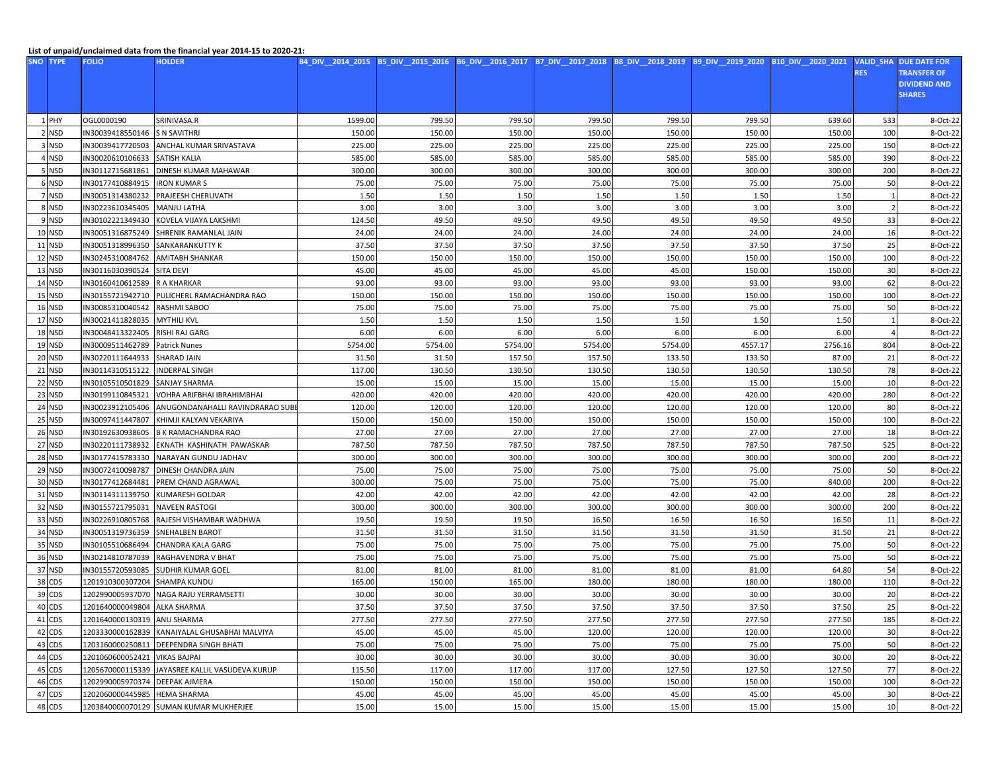## **List of unpaid/unclaimed data from the financial year 2014-15 to 2020-21:**

| <b>SNO</b> | <b>TYPE</b>   | <b>FOLIO</b>                   | <b>HOLDER</b>                                   |         |         | B4_DIV__2014_2015 B5_DIV__2015_2016 B6_DIV__2016_2017 B7_DIV__2017_2018 B8_DIV__2018_2019 |         |         |         | B9 DIV 2019 2020 B10 DIV 2020 2021 | <b>VALID_SHA</b> | <b>DUE DATE FOR</b> |
|------------|---------------|--------------------------------|-------------------------------------------------|---------|---------|-------------------------------------------------------------------------------------------|---------|---------|---------|------------------------------------|------------------|---------------------|
|            |               |                                |                                                 |         |         |                                                                                           |         |         |         |                                    | <b>RES</b>       | <b>TRANSFER OF</b>  |
|            |               |                                |                                                 |         |         |                                                                                           |         |         |         |                                    |                  | <b>DIVIDEND AND</b> |
|            |               |                                |                                                 |         |         |                                                                                           |         |         |         |                                    |                  | <b>SHARES</b>       |
|            |               |                                |                                                 |         |         |                                                                                           |         |         |         |                                    |                  |                     |
|            | 1 PHY         | OGL0000190                     | SRINIVASA.R                                     | 1599.00 | 799.50  | 799.50                                                                                    | 799.50  | 799.50  | 799.50  | 639.60                             | 533              | 8-Oct-22            |
|            | 2 NSD         | IN30039418550146               | <b>S N SAVITHRI</b>                             | 150.00  | 150.00  | 150.00                                                                                    | 150.00  | 150.00  | 150.00  | 150.00                             | 100              | 8-Oct-22            |
|            | 3 NSD         | IN30039417720503               | ANCHAL KUMAR SRIVASTAVA                         | 225.00  | 225.00  | 225.00                                                                                    | 225.00  | 225.00  | 225.00  | 225.00                             | 150              | 8-Oct-22            |
|            | I NSD         | IN30020610106633               | <b>SATISH KALIA</b>                             | 585.00  | 585.00  | 585.00                                                                                    | 585.00  | 585.00  | 585.00  | 585.00                             | 390              | 8-Oct-22            |
|            | <b>NSD</b>    | IN30112715681861               | DINESH KUMAR MAHAWAR                            | 300.00  | 300.00  | 300.00                                                                                    | 300.00  | 300.00  | 300.00  | 300.00                             | 200              | 8-Oct-22            |
|            | 6 NSD         | IN30177410884915               | <b>IRON KUMARS</b>                              | 75.00   | 75.00   | 75.00                                                                                     | 75.00   | 75.00   | 75.00   | 75.00                              | 50               | 8-Oct-22            |
|            | 7 NSD         | IN30051314380232               | PRAJEESH CHERUVATH                              | 1.50    | 1.50    | 1.50                                                                                      | 1.50    | 1.50    | 1.50    | 1.50                               |                  | 8-Oct-22            |
|            | 8 NSD         | IN30223610345405               | <b>MANJU LATHA</b>                              | 3.00    | 3.00    | 3.00                                                                                      | 3.00    | 3.00    | 3.00    | 3.00                               | -2               | 8-Oct-22            |
|            | 9 NSD         | IN30102221349430               | KOVELA VIJAYA LAKSHMI                           | 124.50  | 49.50   | 49.50                                                                                     | 49.50   | 49.50   | 49.50   | 49.50                              | 33               | 8-Oct-22            |
|            | <b>10 NSD</b> | IN30051316875249               | SHRENIK RAMANLAL JAIN                           | 24.00   | 24.00   | 24.00                                                                                     | 24.00   | 24.00   | 24.00   | 24.00                              | 16               | 8-Oct-22            |
|            | <b>11 NSD</b> | IN30051318996350               | SANKARANKUTTY K                                 | 37.50   | 37.50   | 37.50                                                                                     | 37.50   | 37.50   | 37.50   | 37.50                              | 25               | 8-Oct-22            |
|            | 12 NSD        | IN30245310084762               | <b>AMITABH SHANKAR</b>                          | 150.00  | 150.00  | 150.00                                                                                    | 150.00  | 150.00  | 150.00  | 150.00                             | 100              | 8-Oct-22            |
|            | 13 NSD        | IN30116030390524               | <b>SITA DEVI</b>                                | 45.00   | 45.00   | 45.00                                                                                     | 45.00   | 45.00   | 150.00  | 150.00                             | 30               | 8-Oct-22            |
|            | <b>14 NSD</b> | IN30160410612589               | R A KHARKAR                                     | 93.00   | 93.00   | 93.00                                                                                     | 93.00   | 93.00   | 93.00   | 93.00                              | 62               | 8-Oct-22            |
|            | 15 NSD        | IN30155721942710               | PULICHERL RAMACHANDRA RAO                       | 150.00  | 150.00  | 150.00                                                                                    | 150.00  | 150.00  | 150.00  | 150.00                             | 100              | 8-Oct-22            |
|            | 16 NSD        | IN30085310040542               | RASHMI SABOO                                    | 75.00   | 75.00   | 75.00                                                                                     | 75.00   | 75.00   | 75.00   | 75.00                              | 50               | 8-Oct-22            |
|            | 17 NSD        | IN30021411828035               | <b>MYTHILI KVL</b>                              | 1.50    | 1.50    | 1.50                                                                                      | 1.50    | 1.50    | 1.50    | 1.50                               |                  | 8-Oct-22            |
|            | 18 NSD        | IN30048413322405               | RISHI RAJ GARG                                  | 6.00    | 6.00    | 6.00                                                                                      | 6.00    | 6.00    | 6.00    | 6.00                               |                  | 8-Oct-22            |
|            | <b>19 NSD</b> | IN30009511462789               | <b>Patrick Nunes</b>                            | 5754.00 | 5754.00 | 5754.00                                                                                   | 5754.00 | 5754.00 | 4557.17 | 2756.16                            | 804              | 8-Oct-22            |
|            | 20 NSD        | IN30220111644933               | <b>SHARAD JAIN</b>                              | 31.50   | 31.50   | 157.50                                                                                    | 157.50  | 133.50  | 133.50  | 87.00                              | 21               | 8-Oct-22            |
|            | <b>21 NSD</b> | IN30114310515122               | <b>INDERPAL SINGH</b>                           | 117.00  | 130.50  | 130.50                                                                                    | 130.50  | 130.50  | 130.50  | 130.50                             | 78               | 8-Oct-22            |
|            | 22 NSD        | IN30105510501829               | SANJAY SHARMA                                   | 15.00   | 15.00   | 15.00                                                                                     | 15.00   | 15.00   | 15.00   | 15.00                              | 10               | 8-Oct-22            |
|            | 23 NSD        | IN30199110845321               | VOHRA ARIFBHAI IBRAHIMBHAI                      | 420.00  | 420.00  | 420.00                                                                                    | 420.00  | 420.00  | 420.00  | 420.00                             | 280              | 8-Oct-22            |
|            | 24 NSD        | IN30023912105406               | ANUGONDANAHALLI RAVINDRARAO SUBI                | 120.00  | 120.00  | 120.00                                                                                    | 120.00  | 120.00  | 120.00  | 120.00                             | 80               | 8-Oct-22            |
|            | 25 NSD        | IN30097411447807               | KHIMJI KALYAN VEKARIYA                          | 150.00  | 150.00  | 150.00                                                                                    | 150.00  | 150.00  | 150.00  | 150.00                             | 100              | 8-Oct-22            |
|            | 26 NSD        | IN30192630938605               | <b>B K RAMACHANDRA RAO</b>                      | 27.00   | 27.00   | 27.00                                                                                     | 27.00   | 27.00   | 27.00   | 27.00                              | 18               | 8-Oct-22            |
|            | 27 NSD        | IN30220111738932               | EKNATH KASHINATH PAWASKAR                       | 787.50  | 787.50  | 787.50                                                                                    | 787.50  | 787.50  | 787.50  | 787.50                             | 525              | 8-Oct-22            |
|            | <b>28 NSD</b> | IN30177415783330               | NARAYAN GUNDU JADHAV                            | 300.00  | 300.00  | 300.00                                                                                    | 300.00  | 300.00  | 300.00  | 300.00                             | 200              | 8-Oct-22            |
|            | 29 NSD        | IN30072410098787               | DINESH CHANDRA JAIN                             | 75.00   | 75.00   | 75.00                                                                                     | 75.00   | 75.00   | 75.00   | 75.00                              | 50               | 8-Oct-22            |
|            | 30 NSD        | IN30177412684481               | PREM CHAND AGRAWAL                              | 300.00  | 75.00   | 75.00                                                                                     | 75.00   | 75.00   | 75.00   | 840.00                             | 200              | 8-Oct-22            |
|            | 31 NSD        | IN30114311139750               | <b>KUMARESH GOLDAR</b>                          | 42.00   | 42.00   | 42.00                                                                                     | 42.00   | 42.00   | 42.00   | 42.00                              | 28               | 8-Oct-22            |
|            | 32 NSD        | IN30155721795031               | <b>NAVEEN RASTOGI</b>                           | 300.00  | 300.00  | 300.00                                                                                    | 300.00  | 300.00  | 300.00  | 300.00                             | 200              | 8-Oct-22            |
|            | 33 NSD        | IN30226910805768               | RAJESH VISHAMBAR WADHWA                         | 19.50   | 19.50   | 19.50                                                                                     | 16.50   | 16.50   | 16.50   | 16.50                              | 11               | 8-Oct-22            |
|            | 34 NSD        | IN30051319736359               | <b>SNEHALBEN BAROT</b>                          | 31.50   | 31.50   | 31.50                                                                                     | 31.50   | 31.50   | 31.50   | 31.50                              | 21               | 8-Oct-22            |
|            | 35 NSD        | IN30105510686494               | <b>CHANDRA KALA GARG</b>                        | 75.00   | 75.00   | 75.00                                                                                     | 75.00   | 75.00   | 75.00   | 75.00                              | 50               | 8-Oct-22            |
|            | 36 NSD        | IN30214810787039               | RAGHAVENDRA V BHAT                              | 75.00   | 75.00   | 75.00                                                                                     | 75.00   | 75.00   | 75.00   | 75.00                              | 50               | 8-Oct-22            |
|            | 37 NSD        | IN30155720593085               | <b>SUDHIR KUMAR GOEL</b>                        | 81.00   | 81.00   | 81.00                                                                                     | 81.00   | 81.00   | 81.00   | 64.80                              | 54               | 8-Oct-22            |
|            | 38 CDS        | 1201910300307204               | <b>SHAMPA KUNDU</b>                             | 165.00  | 150.00  | 165.00                                                                                    | 180.00  | 180.00  | 180.00  | 180.00                             | 110              | 8-Oct-22            |
|            | 39 CDS        | 1202990005937070               | NAGA RAJU YERRAMSETTI                           | 30.00   | 30.00   | 30.00                                                                                     | 30.00   | 30.00   | 30.00   | 30.00                              | 20               | 8-Oct-22            |
|            | 40 CDS        | 1201640000049804 ALKA SHARMA   |                                                 | 37.50   | 37.50   | 37.50                                                                                     | 37.50   | 37.50   | 37.50   | 37.50                              | 25               | 8-Oct-22            |
|            | 41 CDS        | 1201640000130319 ANU SHARMA    |                                                 | 277.50  | 277.50  | 277.50                                                                                    | 277.50  | 277.50  | 277.50  | 277.50                             | 185              | 8-Oct-22            |
|            | 42 CDS        |                                | 1203330000162839 KANAIYALAL GHUSABHAI MALVIYA   | 45.00   | 45.00   | 45.00                                                                                     | 120.00  | 120.00  | 120.00  | 120.00                             | 30               | 8-Oct-22            |
|            | 43 CDS        |                                | 1203160000250811 DEEPENDRA SINGH BHATI          | 75.00   | 75.00   | 75.00                                                                                     | 75.00   | 75.00   | 75.00   | 75.00                              | 50               | 8-Oct-22            |
|            | 44 CDS        | 1201060600052421 VIKAS BAJPAI  |                                                 | 30.00   | 30.00   | 30.00                                                                                     | 30.00   | 30.00   | 30.00   | 30.00                              | 20               | 8-Oct-22            |
|            | 45 CDS        |                                | 1205670000115339 JAYASREE KALLIL VASUDEVA KURUP | 115.50  | 117.00  | 117.00                                                                                    | 117.00  | 127.50  | 127.50  | 127.50                             | 77               | 8-Oct-22            |
|            | 46 CDS        | 1202990005970374 DEEPAK AJMERA |                                                 | 150.00  | 150.00  | 150.00                                                                                    | 150.00  | 150.00  | 150.00  | 150.00                             | 100              | 8-Oct-22            |
|            | 47 CDS        | 1202060000445985 HEMA SHARMA   |                                                 | 45.00   | 45.00   | 45.00                                                                                     | 45.00   | 45.00   | 45.00   | 45.00                              | 30               | 8-Oct-22            |
|            | 48 CDS        |                                | 1203840000070129 SUMAN KUMAR MUKHERJEE          | 15.00   | 15.00   | 15.00                                                                                     | 15.00   | 15.00   | 15.00   | 15.00                              | 10 <sup>1</sup>  | 8-Oct-22            |
|            |               |                                |                                                 |         |         |                                                                                           |         |         |         |                                    |                  |                     |